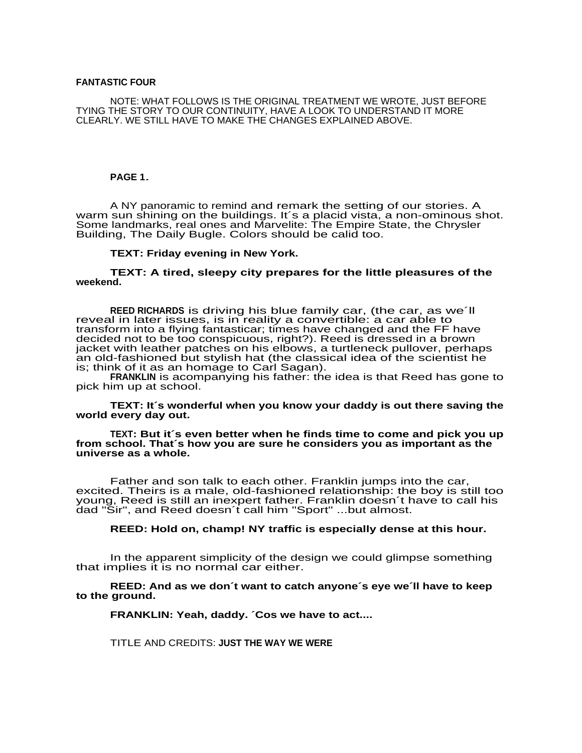#### **FANTASTIC FOUR**

NOTE: WHAT FOLLOWS IS THE ORIGINAL TREATMENT WE WROTE, JUST BEFORE TYING THE STORY TO OUR CONTINUITY, HAVE A LOOK TO UNDERSTAND IT MORE CLEARLY. WE STILL HAVE TO MAKE THE CHANGES EXPLAINED ABOVE.

## **PAGE 1**.

A NY panoramic to remind and remark the setting of our stories. A warm sun shining on the buildings. It's a placid vista, a non-ominous shot. Some landmarks, real ones and Marvelite: The Empire State, the Chrysler Building, The Daily Bugle. Colors should be calid too.

### **TEXT: Friday evening in New York.**

**TEXT: A tired, sleepy city prepares for the little pleasures of the weekend.**

**REED RICHARDS** is driving his blue family car, (the car, as we´ll reveal in later issues, is in reality a convertible: a car able to transform into a flying fantasticar; times have changed and the FF have decided not to be too conspicuous, right?). Reed is dressed in a brown jacket with leather patches on his elbows, a turtleneck pullover, perhaps an old-fashioned but stylish hat (the classical idea of the scientist he is; think of it as an homage to Carl Sagan).

**FRANKLIN** is acompanying his father: the idea is that Reed has gone to pick him up at school.

**TEXT: It´s wonderful when you know your daddy is out there saving the world every day out.**

**TEXT: But it´s even better when he finds time to come and pick you up from school. That´s how you are sure he considers you as important as the universe as a whole.**

Father and son talk to each other. Franklin jumps into the car, excited. Theirs is a male, old-fashioned relationship: the boy is still too young, Reed is still an inexpert father. Franklin doesn´t have to call his dad "Sir", and Reed doesn´t call him "Sport" ...but almost.

#### **REED: Hold on, champ! NY traffic is especially dense at this hour.**

In the apparent simplicity of the design we could glimpse something that implies it is no normal car either.

**REED: And as we don´t want to catch anyone´s eye we´ll have to keep to the ground.**

**FRANKLIN: Yeah, daddy. ´Cos we have to act....**

TITLE AND CREDITS: **JUST THE WAY WE WERE**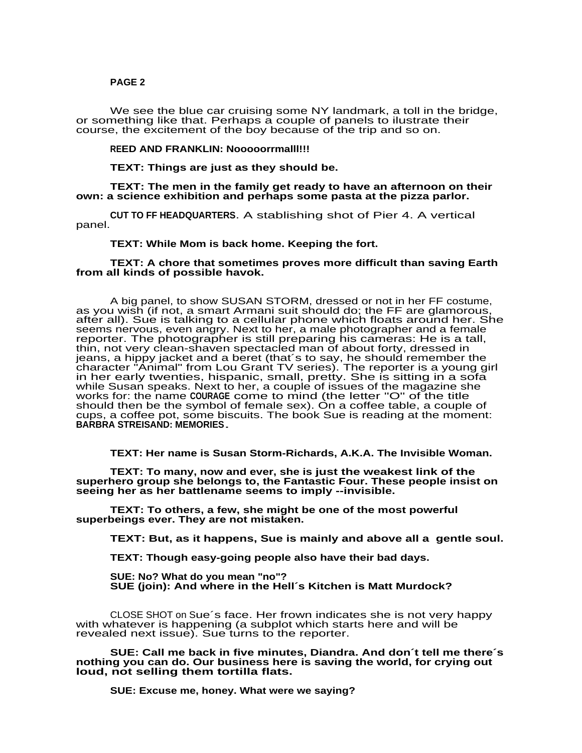We see the blue car cruising some NY landmark, a toll in the bridge, or something like that. Perhaps a couple of panels to ilustrate their course, the excitement of the boy because of the trip and so on.

**REED AND FRANKLIN: Nooooorrmalll!!!**

**TEXT: Things are just as they should be.**

**TEXT: The men in the family get ready to have an afternoon on their own: a science exhibition and perhaps some pasta at the pizza parlor.**

**CUT TO FF HEADQUARTERS**. A stablishing shot of Pier 4. A vertical panel.

#### **TEXT: While Mom is back home. Keeping the fort.**

### **TEXT: A chore that sometimes proves more difficult than saving Earth from all kinds of possible havok.**

A big panel, to show SUSAN STORM, dressed or not in her FF costume, as you wish (if not, a smart Armani suit should do; the FF are glamorous, as you wish (if not, a smart rumain sait should do, the FT are giamorous,<br>after all). Sue is talking to a cellular phone which floats around her. She seems nervous, even angry. Next to her, a male photographer and a female reporter. The photographer is still preparing his cameras: He is a tall, thin, not very clean-shaven spectacled man of about forty, dressed in jeans, a hippy jacket and a beret (that´s to say, he should remember the character "Animal" from Lou Grant TV series). The reporter is a young girl in her early twenties, hispanic, small, pretty. She is sitting in a sofa while Susan speaks. Next to her, a couple of issues of the magazine she works for: the name **COURAGE** come to mind (the letter "O" of the title should then be the symbol of female sex). On a coffee table, a couple of cups, a coffee pot, some biscuits. The book Sue is reading at the moment: **BARBRA STREISAND: MEMORIES**.

**TEXT: Her name is Susan Storm-Richards, A.K.A. The Invisible Woman.**

**TEXT: To many, now and ever, she is just the weakest link of the superhero group she belongs to, the Fantastic Four. These people insist on seeing her as her battlename seems to imply --invisible.**

**TEXT: To others, a few, she might be one of the most powerful superbeings ever. They are not mistaken.**

**TEXT: But, as it happens, Sue is mainly and above all a gentle soul.**

**TEXT: Though easy-going people also have their bad days.**

**SUE: No? What do you mean "no"? SUE (join): And where in the Hell´s Kitchen is Matt Murdock?**

CLOSE SHOT on Sue´s face. Her frown indicates she is not very happy with whatever is happening (a subplot which starts here and will be revealed next issue). Sue turns to the reporter.

**SUE: Call me back in five minutes, Diandra. And don´t tell me there´s nothing you can do. Our business here is saving the world, for crying out loud, not selling them tortilla flats.**

**SUE: Excuse me, honey. What were we saying?**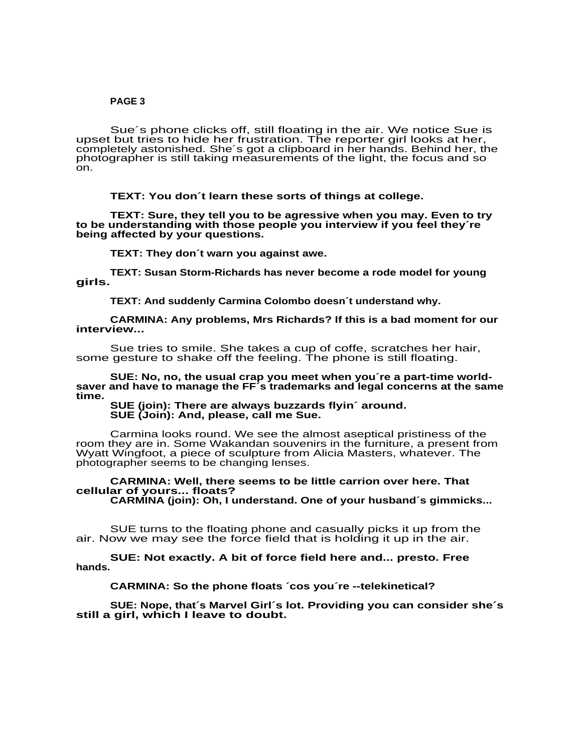Sue´s phone clicks off, still floating in the air. We notice Sue is upset but tries to hide her frustration. The reporter girl looks at her, completely astonished. She´s got a clipboard in her hands. Behind her, the photographer is still taking measurements of the light, the focus and so on.

## **TEXT: You don´t learn these sorts of things at college.**

**TEXT: Sure, they tell you to be agressive when you may. Even to try to be understanding with those people you interview if you feel they´re being affected by your questions.**

**TEXT: They don´t warn you against awe.**

**TEXT: Susan Storm-Richards has never become a rode model for young girls.**

**TEXT: And suddenly Carmina Colombo doesn´t understand why.**

**CARMINA: Any problems, Mrs Richards? If this is a bad moment for our interview...**

Sue tries to smile. She takes a cup of coffe, scratches her hair, some gesture to shake off the feeling. The phone is still floating.

**SUE: No, no, the usual crap you meet when you´re a part-time worldsaver and have to manage the FF´s trademarks and legal concerns at the same time.**

**SUE (join): There are always buzzards flyin´ around. SUE (Join): And, please, call me Sue.**

Carmina looks round. We see the almost aseptical pristiness of the room they are in. Some Wakandan souvenirs in the furniture, a present from Wyatt Wingfoot, a piece of sculpture from Alicia Masters, whatever. The photographer seems to be changing lenses.

# **CARMINA: Well, there seems to be little carrion over here. That cellular of yours... floats?**

**CARMINA (join): Oh, I understand. One of your husband´s gimmicks...**

SUE turns to the floating phone and casually picks it up from the air. Now we may see the force field that is holding it up in the air.

**SUE: Not exactly. A bit of force field here and... presto. Free hands.**

**CARMINA: So the phone floats ´cos you´re --telekinetical?**

**SUE: Nope, that´s Marvel Girl´s lot. Providing you can consider she´s still a girl, which I leave to doubt.**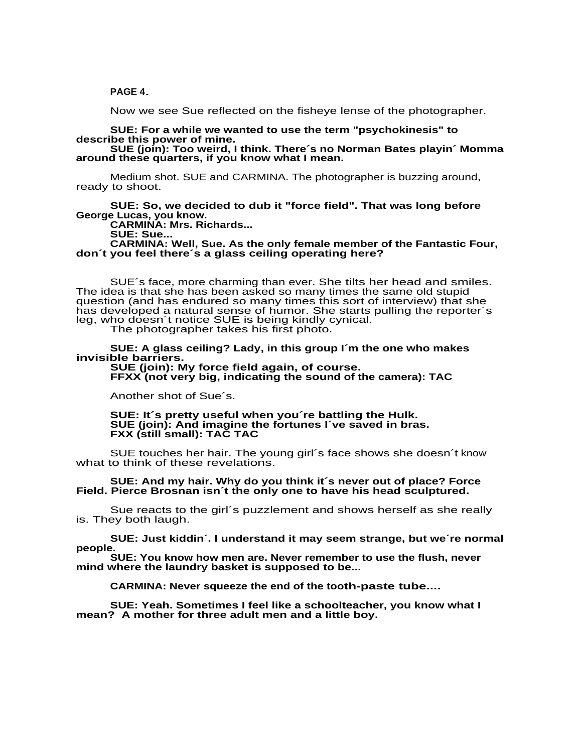### **PAGE 4**.

Now we see Sue reflected on the fisheye lense of the photographer.

## **SUE: For a while we wanted to use the term "psychokinesis" to describe this power of mine.**

**SUE (join): Too weird, I think. There´s no Norman Bates playin´ Momma around these quarters, if you know what I mean.**

Medium shot. SUE and CARMINA. The photographer is buzzing around, ready to shoot.

## **SUE: So, we decided to dub it "force field". That was long before George Lucas, you know.**

**CARMINA: Mrs. Richards...**

**SUE: Sue...**

**CARMINA: Well, Sue. As the only female member of the Fantastic Four, don´t you feel there´s a glass ceiling operating here?**

SUE´s face, more charming than ever. She tilts her head and smiles. The idea is that she has been asked so many times the same old stupid question (and has endured so many times this sort of interview) that she has developed a natural sense of humor. She starts pulling the reporter´s leg, who doesn´t notice SUE is being kindly cynical.

The photographer takes his first photo.

**SUE: A glass ceiling? Lady, in this group I´m the one who makes invisible barriers.**

**SUE (join): My force field again, of course. FFXX (not very big, indicating the sound of the camera): TAC**

Another shot of Sue´s.

**SUE: It´s pretty useful when you´re battling the Hulk. SUE (join): And imagine the fortunes I´ve saved in bras. FXX (still small): TAC TAC**

SUE touches her hair. The young girl´s face shows she doesn´t know what to think of these revelations.

### **SUE: And my hair. Why do you think it´s never out of place? Force Field. Pierce Brosnan isn´t the only one to have his head sculptured.**

Sue reacts to the girl´s puzzlement and shows herself as she really is. They both laugh.

**SUE: Just kiddin´. I understand it may seem strange, but we´re normal people.**

**SUE: You know how men are. Never remember to use the flush, never mind where the laundry basket is supposed to be...**

**CARMINA: Never squeeze the end of the tooth-paste tube....**

**SUE: Yeah. Sometimes I feel like a schoolteacher, you know what I mean? A mother for three adult men and a little boy.**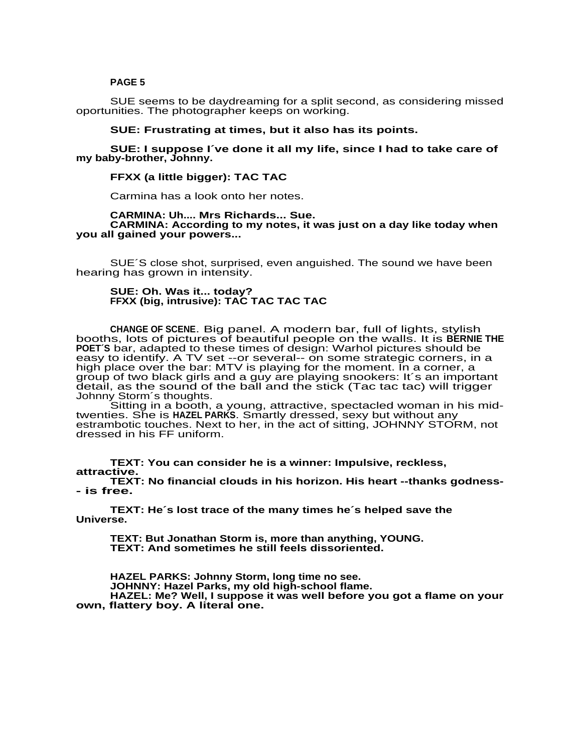SUE seems to be daydreaming for a split second, as considering missed oportunities. The photographer keeps on working.

## **SUE: Frustrating at times, but it also has its points.**

**SUE: I suppose I´ve done it all my life, since I had to take care of my baby-brother, Johnny.**

# **FFXX (a little bigger): TAC TAC**

Carmina has a look onto her notes.

#### **CARMINA: Uh.... Mrs Richards... Sue. CARMINA: According to my notes, it was just on a day like today when you all gained your powers...**

SUE´S close shot, surprised, even anguished. The sound we have been hearing has grown in intensity.

### **SUE: Oh. Was it... today? FFXX (big, intrusive): TAC TAC TAC TAC**

**CHANGE OF SCENE**. Big panel. A modern bar, full of lights, stylish booths, lots of pictures of beautiful people on the walls. It is **BERNIE THE POET´S** bar, adapted to these times of design: Warhol pictures should be easy to identify. A TV set --or several-- on some strategic corners, in a high place over the bar: MTV is playing for the moment. In a corner, a mail place over the bar. Milly to playing for the moment. In a comor, a<br>group of two black girls and a guy are playing snookers: It's an important detail, as the sound of the ball and the stick (Tac tac tac) will trigger Johnny Storm´s thoughts.

Sitting in a booth, a young, attractive, spectacled woman in his midtwenties. She is **HAZEL PARKS**. Smartly dressed, sexy but without any estrambotic touches. Next to her, in the act of sitting, JOHNNY STORM, not dressed in his FF uniform.

**TEXT: You can consider he is a winner: Impulsive, reckless, attractive.**

**TEXT: No financial clouds in his horizon. His heart --thanks godness- - is free.**

**TEXT: He´s lost trace of the many times he´s helped save the Universe.**

**TEXT: But Jonathan Storm is, more than anything, YOUNG. TEXT: And sometimes he still feels dissoriented.**

**HAZEL PARKS: Johnny Storm, long time no see. JOHNNY: Hazel Parks, my old high-school flame. HAZEL: Me? Well, I suppose it was well before you got a flame on your own, flattery boy. A literal one.**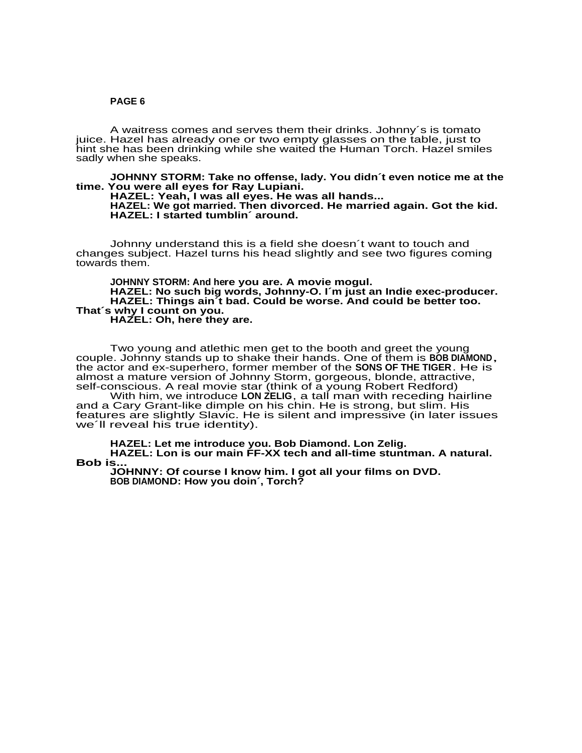A waitress comes and serves them their drinks. Johnny´s is tomato juice. Hazel has already one or two empty glasses on the table, just to hint she has been drinking while she waited the Human Torch. Hazel smiles sadly when she speaks.

**JOHNNY STORM: Take no offense, lady. You didn´t even notice me at the time. You were all eyes for Ray Lupiani.**

**HAZEL: Yeah, I was all eyes. He was all hands... HAZEL: We got married. Then divorced. He married again. Got the kid. HAZEL: I started tumblin´ around.**

Johnny understand this is a field she doesn´t want to touch and changes subject. Hazel turns his head slightly and see two figures coming towards them.

**JOHNNY STORM: And here you are. A movie mogul. HAZEL: No such big words, Johnny-O. I´m just an Indie exec-producer. HAZEL: Things ain´t bad. Could be worse. And could be better too. That´s why I count on you. HAZEL: Oh, here they are.**

Two young and atlethic men get to the booth and greet the young couple. Johnny stands up to shake their hands. One of them is **BOB DIAMOND**, the actor and ex-superhero, former member of the **SONS OF THE TIGER**. He is almost a mature version of Johnny Storm, gorgeous, blonde, attractive, self-conscious. A real movie star (think of a young Robert Redford)

With him, we introduce **LON ZELIG**, a tall man with receding hairline and a Cary Grant-like dimple on his chin. He is strong, but slim. His features are slightly Slavic. He is silent and impressive (in later issues we'll reveal his true identity).

**HAZEL: Let me introduce you. Bob Diamond. Lon Zelig. HAZEL: Lon is our main FF-XX tech and all-time stuntman. A natural. Bob is...**

**JOHNNY: Of course I know him. I got all your films on DVD. BOB DIAMOND: How you doin´, Torch?**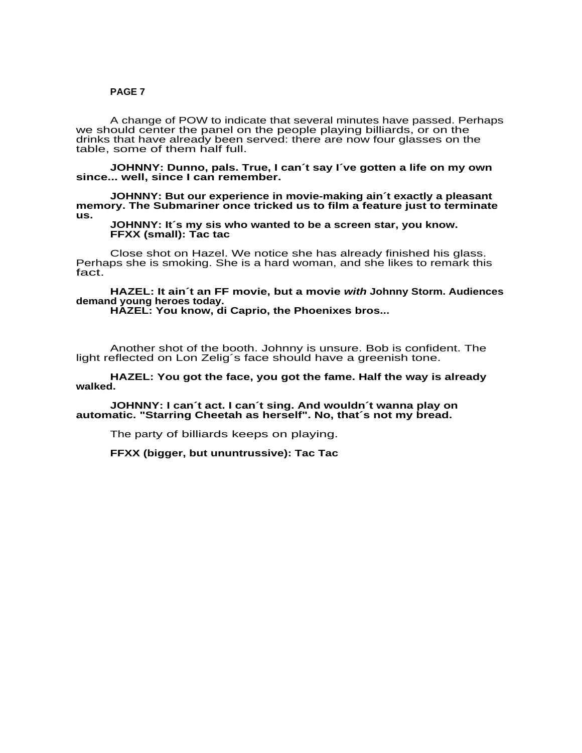A change of POW to indicate that several minutes have passed. Perhaps we should center the panel on the people playing billiards, or on the drinks that have already been served: there are now four glasses on the table, some of them half full.

**JOHNNY: Dunno, pals. True, I can´t say I´ve gotten a life on my own since... well, since I can remember.**

**JOHNNY: But our experience in movie-making ain´t exactly a pleasant memory. The Submariner once tricked us to film a feature just to terminate us.**

### **JOHNNY: It´s my sis who wanted to be a screen star, you know. FFXX (small): Tac tac**

Close shot on Hazel. We notice she has already finished his glass. Perhaps she is smoking. She is a hard woman, and she likes to remark this fact.

## **HAZEL: It ain´t an FF movie, but a movie with Johnny Storm. Audiences demand young heroes today.**

**HAZEL: You know, di Caprio, the Phoenixes bros...**

Another shot of the booth. Johnny is unsure. Bob is confident. The light reflected on Lon Zelig´s face should have a greenish tone.

# **HAZEL: You got the face, you got the fame. Half the way is already walked.**

**JOHNNY: I can´t act. I can´t sing. And wouldn´t wanna play on automatic. "Starring Cheetah as herself". No, that´s not my bread.**

The party of billiards keeps on playing.

**FFXX (bigger, but ununtrussive): Tac Tac**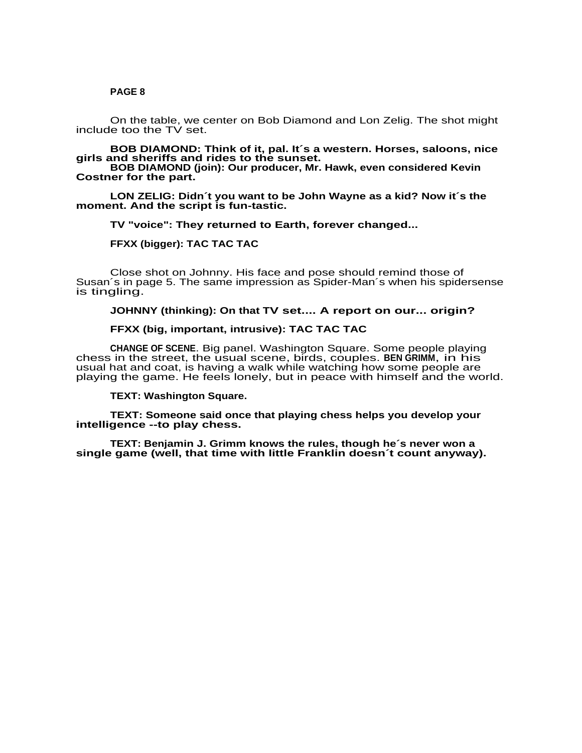On the table, we center on Bob Diamond and Lon Zelig. The shot might include too the TV set.

**BOB DIAMOND: Think of it, pal. It´s a western. Horses, saloons, nice girls and sheriffs and rides to the sunset.**

**BOB DIAMOND (join): Our producer, Mr. Hawk, even considered Kevin Costner for the part.**

**LON ZELIG: Didn´t you want to be John Wayne as a kid? Now it´s the moment. And the script is fun-tastic.**

**TV "voice": They returned to Earth, forever changed...**

**FFXX (bigger): TAC TAC TAC**

Close shot on Johnny. His face and pose should remind those of Susan´s in page 5. The same impression as Spider-Man´s when his spidersense is tingling.

# **JOHNNY (thinking): On that TV set.... A report on our... origin?**

# **FFXX (big, important, intrusive): TAC TAC TAC**

**CHANGE OF SCENE**. Big panel. Washington Square. Some people playing chess in the street, the usual scene, birds, couples. **BEN GRIMM**, in his usual hat and coat, is having a walk while watching how some people are playing the game. He feels lonely, but in peace with himself and the world.

**TEXT: Washington Square.**

**TEXT: Someone said once that playing chess helps you develop your intelligence --to play chess.**

**TEXT: Benjamin J. Grimm knows the rules, though he´s never won a single game (well, that time with little Franklin doesn´t count anyway).**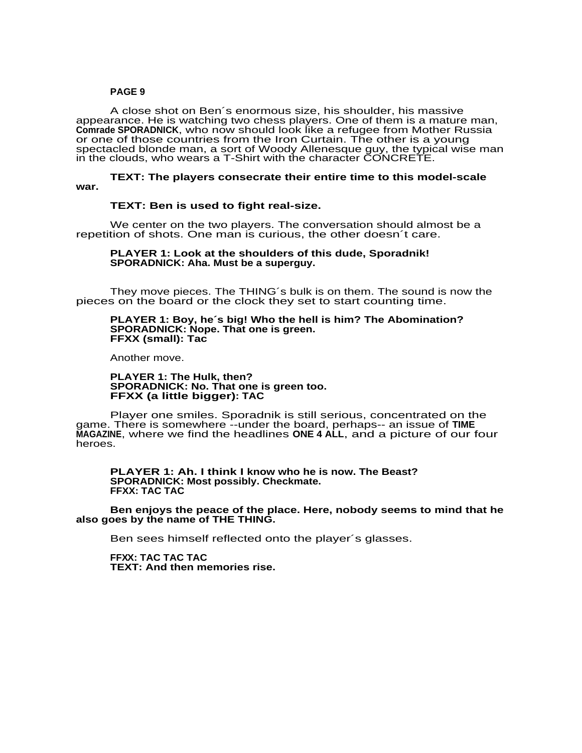A close shot on Ben´s enormous size, his shoulder, his massive appearance. He is watching two chess players. One of them is a mature man, **Comrade SPORADNICK**, who now should look like a refugee from Mother Russia or one of those countries from the Iron Curtain. The other is a young spectacled blonde man, a sort of Woody Allenesque guy, the typical wise man in the clouds, who wears a T-Shirt with the character CONCRETE.

**TEXT: The players consecrate their entire time to this model-scale war.**

### **TEXT: Ben is used to fight real-size.**

We center on the two players. The conversation should almost be a repetition of shots. One man is curious, the other doesn´t care.

### **PLAYER 1: Look at the shoulders of this dude, Sporadnik! SPORADNICK: Aha. Must be a superguy.**

They move pieces. The THING´s bulk is on them. The sound is now the pieces on the board or the clock they set to start counting time.

### **PLAYER 1: Boy, he´s big! Who the hell is him? The Abomination? SPORADNICK: Nope. That one is green. FFXX (small): Tac**

Another move.

### **PLAYER 1: The Hulk, then? SPORADNICK: No. That one is green too. FFXX (a little bigger): TAC**

Player one smiles. Sporadnik is still serious, concentrated on the game. There is somewhere --under the board, perhaps-- an issue of **TIME MAGAZINE**, where we find the headlines **ONE 4 ALL**, and a picture of our four heroes.

**PLAYER 1: Ah. I think I know who he is now. The Beast? SPORADNICK: Most possibly. Checkmate. FFXX: TAC TAC**

**Ben enjoys the peace of the place. Here, nobody seems to mind that he also goes by the name of THE THING.**

Ben sees himself reflected onto the player´s glasses.

**FFXX: TAC TAC TAC TEXT: And then memories rise.**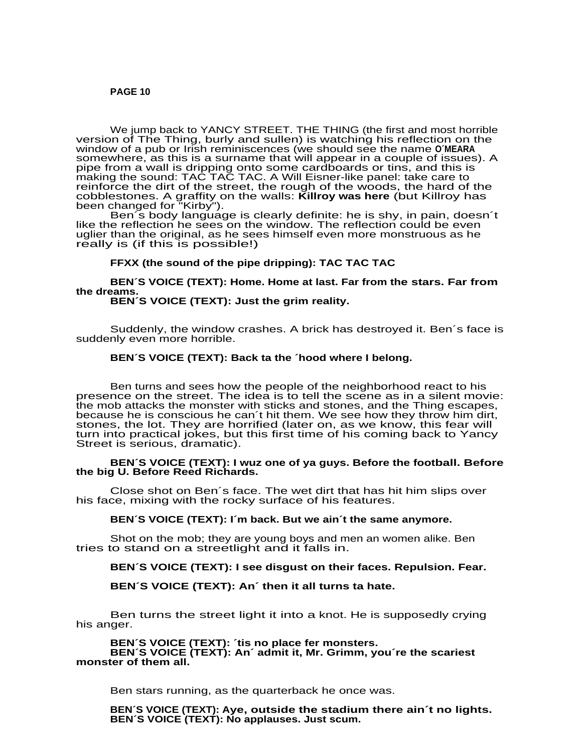We jump back to YANCY STREET. THE THING (the first and most horrible version of The Thing, burly and sullen) is watching his reflection on the window of a pub or Irish reminiscences (we should see the name **O´MEARA** somewhere, as this is a surname that will appear in a couple of issues). A pipe from a wall is dripping onto some cardboards or tins, and this is making the sound: TAC TAC TAC. A Will Eisner-like panel: take care to reinforce the dirt of the street, the rough of the woods, the hard of the cobblestones. A graffity on the walls: **Killroy was here** (but Killroy has been changed for "Kirby").

Ben´s body language is clearly definite: he is shy, in pain, doesn´t like the reflection he sees on the window. The reflection could be even Interact than the original, as he sees himself even more monstruous as he<br>uglier than the original, as he sees himself even more monstruous as he really is (if this is possible!)

## **FFXX (the sound of the pipe dripping): TAC TAC TAC**

**BEN´S VOICE (TEXT): Home. Home at last. Far from the stars. Far from the dreams. BEN´S VOICE (TEXT): Just the grim reality.**

Suddenly, the window crashes. A brick has destroyed it. Ben´s face is suddenly even more horrible.

# **BEN´S VOICE (TEXT): Back ta the ´hood where I belong.**

Ben turns and sees how the people of the neighborhood react to his presence on the street. The idea is to tell the scene as in a silent movie: the mob attacks the monster with sticks and stones, and the Thing escapes, because he is conscious he can´t hit them. We see how they throw him dirt, stones, the lot. They are horrified (later on, as we know, this fear will turn into practical jokes, but this first time of his coming back to Yancy Street is serious, dramatic).

## **BEN´S VOICE (TEXT): I wuz one of ya guys. Before the football. Before the big U. Before Reed Richards.**

Close shot on Ben´s face. The wet dirt that has hit him slips over his face, mixing with the rocky surface of his features.

## **BEN´S VOICE (TEXT): I´m back. But we ain´t the same anymore.**

Shot on the mob; they are young boys and men an women alike. Ben tries to stand on a streetlight and it falls in.

## **BEN´S VOICE (TEXT): I see disgust on their faces. Repulsion. Fear.**

## **BEN´S VOICE (TEXT): An´ then it all turns ta hate.**

Ben turns the street light it into a knot. He is supposedly crying his anger.

**BEN´S VOICE (TEXT): ´tis no place fer monsters. BEN´S VOICE (TEXT): An´ admit it, Mr. Grimm, you´re the scariest monster of them all.**

Ben stars running, as the quarterback he once was.

**BEN´S VOICE (TEXT): Aye, outside the stadium there ain´t no lights. BEN´S VOICE (TEXT): No applauses. Just scum.**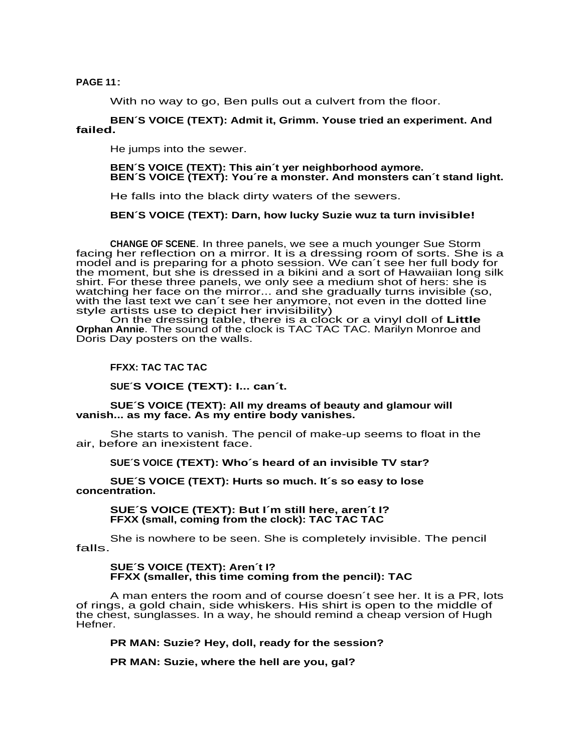**PAGE 11**:

With no way to go, Ben pulls out a culvert from the floor.

# **BEN´S VOICE (TEXT): Admit it, Grimm. Youse tried an experiment. And failed.**

He jumps into the sewer.

## **BEN´S VOICE (TEXT): This ain´t yer neighborhood aymore. BEN´S VOICE (TEXT): You´re a monster. And monsters can´t stand light.**

He falls into the black dirty waters of the sewers.

# **BEN´S VOICE (TEXT): Darn, how lucky Suzie wuz ta turn invisible!**

**CHANGE OF SCENE**. In three panels, we see a much younger Sue Storm facing her reflection on a mirror. It is a dressing room of sorts. She is a model and is preparing for a photo session. We can´t see her full body for the moment, but she is dressed in a bikini and a sort of Hawaiian long silk shirt. For these three panels, we only see a medium shot of hers: she is watching her face on the mirror... and she gradually turns invisible (so, with the last text we can´t see her anymore, not even in the dotted line style artists use to depict her invisibility)

On the dressing table, there is a clock or a vinyl doll of **Little Orphan Annie**. The sound of the clock is TAC TAC TAC. Marilyn Monroe and Doris Day posters on the walls.

# **FFXX: TAC TAC TAC**

**SUE´S VOICE (TEXT): I... can´t.**

## **SUE´S VOICE (TEXT): All my dreams of beauty and glamour will vanish... as my face. As my entire body vanishes.**

She starts to vanish. The pencil of make-up seems to float in the air, before an inexistent face.

## **SUE´S VOICE (TEXT): Who´s heard of an invisible TV star?**

**SUE´S VOICE (TEXT): Hurts so much. It´s so easy to lose concentration.**

**SUE´S VOICE (TEXT): But I´m still here, aren´t I? FFXX (small, coming from the clock): TAC TAC TAC**

She is nowhere to be seen. She is completely invisible. The pencil falls.

## **SUE´S VOICE (TEXT): Aren´t I? FFXX (smaller, this time coming from the pencil): TAC**

A man enters the room and of course doesn´t see her. It is a PR, lots of rings, a gold chain, side whiskers. His shirt is open to the middle of the chest, sunglasses. In a way, he should remind a cheap version of Hugh Hefner.

**PR MAN: Suzie? Hey, doll, ready for the session?**

**PR MAN: Suzie, where the hell are you, gal?**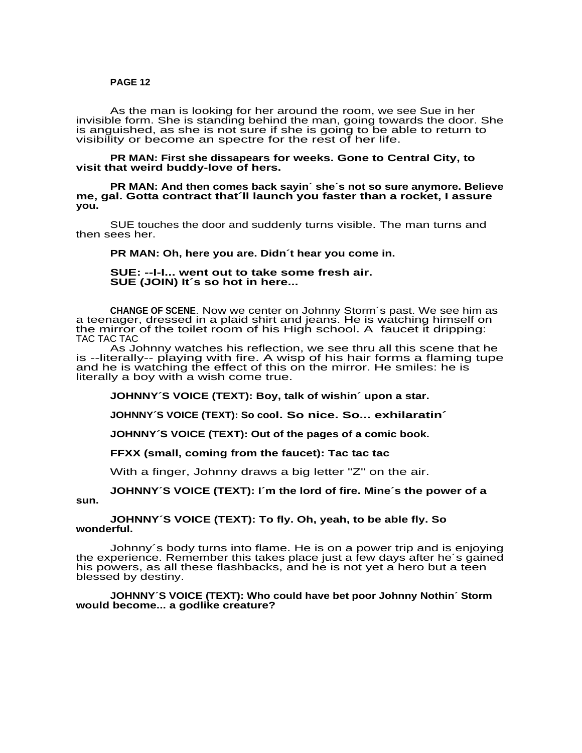As the man is looking for her around the room, we see Sue in her invisible form. She is standing behind the man, going towards the door. She Invisible form. She is standing behind the man, going towards the door. C<br>is anguished, as she is not sure if she is going to be able to return to visibility or become an spectre for the rest of her life.

**PR MAN: First she dissapears for weeks. Gone to Central City, to visit that weird buddy-love of hers.**

**PR MAN: And then comes back sayin´ she´s not so sure anymore. Believe me, gal. Gotta contract that´ll launch you faster than a rocket, I assure you.**

SUE touches the door and suddenly turns visible. The man turns and then sees her.

#### **PR MAN: Oh, here you are. Didn´t hear you come in.**

**SUE: --I-I... went out to take some fresh air. SUE (JOIN) It´s so hot in here...**

**CHANGE OF SCENE**. Now we center on Johnny Storm´s past. We see him as a teenager, dressed in a plaid shirt and jeans. He is watching himself on the mirror of the toilet room of his High school. A faucet it dripping: TAC TAC TAC

As Johnny watches his reflection, we see thru all this scene that he is --literally-- playing with fire. A wisp of his hair forms a flaming tupe and he is watching the effect of this on the mirror. He smiles: he is literally a boy with a wish come true.

**JOHNNY´S VOICE (TEXT): Boy, talk of wishin´ upon a star.**

**JOHNNY´S VOICE (TEXT): So cool. So nice. So... exhilaratin´**

**JOHNNY´S VOICE (TEXT): Out of the pages of a comic book.**

**FFXX (small, coming from the faucet): Tac tac tac**

With a finger, Johnny draws a big letter "Z" on the air.

**JOHNNY´S VOICE (TEXT): I´m the lord of fire. Mine´s the power of a sun.**

**JOHNNY´S VOICE (TEXT): To fly. Oh, yeah, to be able fly. So wonderful.**

Johnny´s body turns into flame. He is on a power trip and is enjoying the experience. Remember this takes place just a few days after he's gained his powers, as all these flashbacks, and he is not yet a hero but a teen blessed by destiny.

**JOHNNY´S VOICE (TEXT): Who could have bet poor Johnny Nothin´ Storm would become... a godlike creature?**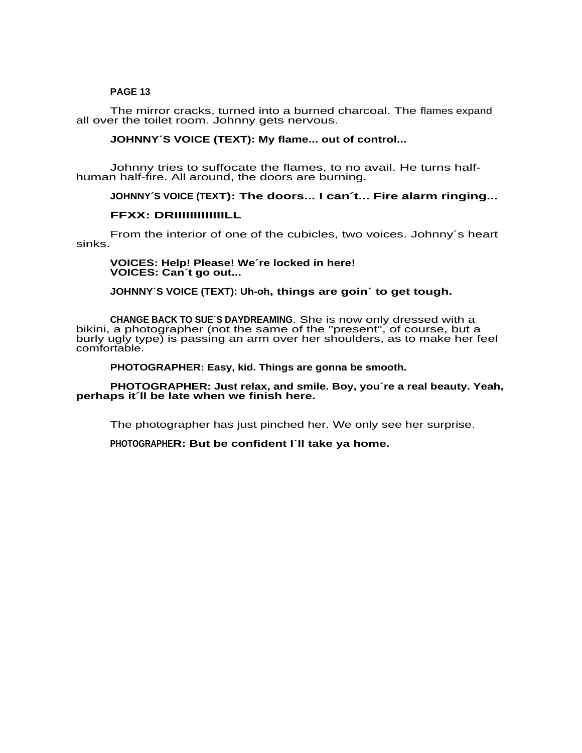The mirror cracks, turned into a burned charcoal. The flames expand all over the toilet room. Johnny gets nervous.

# **JOHNNY´S VOICE (TEXT): My flame... out of control...**

Johnny tries to suffocate the flames, to no avail. He turns halfhuman half-fire. All around, the doors are burning.

# **JOHNNY´S VOICE (TEXT): The doors... I can´t... Fire alarm ringing...**

# **FFXX: DRIIIIIIIIIIIIILL**

From the interior of one of the cubicles, two voices. Johnny´s heart sinks.

## **VOICES: Help! Please! We´re locked in here! VOICES: Can´t go out...**

# **JOHNNY´S VOICE (TEXT): Uh-oh, things are goin´ to get tough.**

**CHANGE BACK TO SUE´S DAYDREAMING**. She is now only dressed with a bikini, a photographer (not the same of the "present", of course, but a burly ugly type) is passing an arm over her shoulders, as to make her feel comfortable.

**PHOTOGRAPHER: Easy, kid. Things are gonna be smooth.**

**PHOTOGRAPHER: Just relax, and smile. Boy, you´re a real beauty. Yeah, perhaps it´ll be late when we finish here.**

The photographer has just pinched her. We only see her surprise.

**PHOTOGRAPHER: But be confident I´ll take ya home.**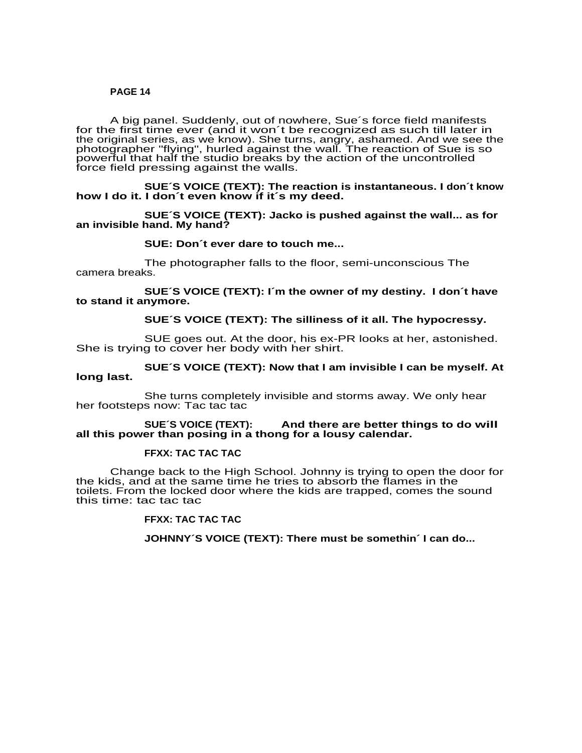A big panel. Suddenly, out of nowhere, Sue´s force field manifests for the first time ever (and it won´t be recognized as such till later in the original series, as we know). She turns, angry, ashamed. And we see the are engined sense, as we wrong: one tame, angly, addition. That we see a<br>photographer "flying", hurled against the wall. The reaction of Sue is so powerful that half the studio breaks by the action of the uncontrolled force field pressing against the walls.

### **SUE´S VOICE (TEXT): The reaction is instantaneous. I don´t know how I do it. I don´t even know if it´s my deed.**

**SUE´S VOICE (TEXT): Jacko is pushed against the wall... as for an invisible hand. My hand?**

### **SUE: Don´t ever dare to touch me...**

The photographer falls to the floor, semi-unconscious The camera breaks.

**SUE´S VOICE (TEXT): I´m the owner of my destiny. I don´t have to stand it anymore.**

# **SUE´S VOICE (TEXT): The silliness of it all. The hypocressy.**

SUE goes out. At the door, his ex-PR looks at her, astonished. She is trying to cover her body with her shirt.

# **SUE´S VOICE (TEXT): Now that I am invisible I can be myself. At long last.**

She turns completely invisible and storms away. We only hear her footsteps now: Tac tac tac

### **SUE´S VOICE (TEXT): And there are better things to do will all this power than posing in a thong for a lousy calendar.**

#### **FFXX: TAC TAC TAC**

Change back to the High School. Johnny is trying to open the door for the kids, and at the same time he tries to absorb the flames in the toilets. From the locked door where the kids are trapped, comes the sound this time: tac tac tac

#### **FFXX: TAC TAC TAC**

**JOHNNY´S VOICE (TEXT): There must be somethin´ I can do...**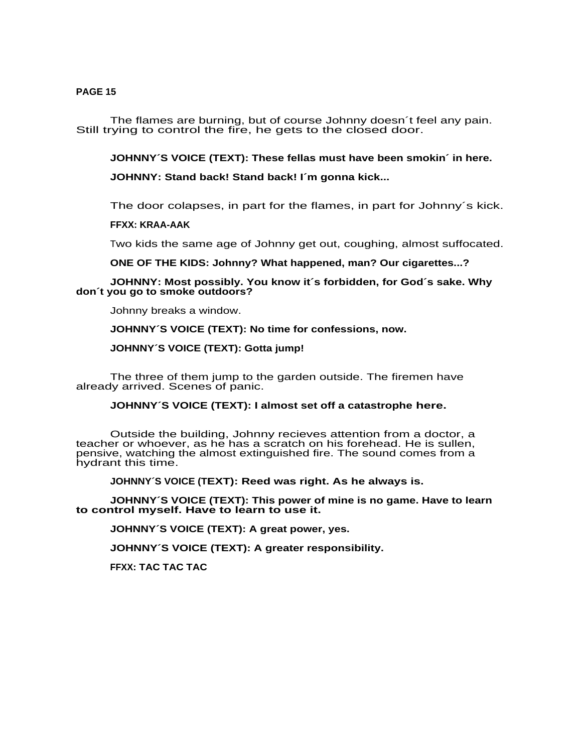The flames are burning, but of course Johnny doesn´t feel any pain. Still trying to control the fire, he gets to the closed door.

**JOHNNY´S VOICE (TEXT): These fellas must have been smokin´ in here.**

**JOHNNY: Stand back! Stand back! I´m gonna kick...**

The door colapses, in part for the flames, in part for Johnny´s kick.

**FFXX: KRAA-AAK**

Two kids the same age of Johnny get out, coughing, almost suffocated.

**ONE OF THE KIDS: Johnny? What happened, man? Our cigarettes...?**

# **JOHNNY: Most possibly. You know it´s forbidden, for God´s sake. Why don´t you go to smoke outdoors?**

Johnny breaks a window.

**JOHNNY´S VOICE (TEXT): No time for confessions, now.**

**JOHNNY´S VOICE (TEXT): Gotta jump!**

The three of them jump to the garden outside. The firemen have already arrived. Scenes of panic.

**JOHNNY´S VOICE (TEXT): I almost set off a catastrophe here.**

Outside the building, Johnny recieves attention from a doctor, a teacher or whoever, as he has a scratch on his forehead. He is sullen, pensive, watching the almost extinguished fire. The sound comes from a hydrant this time.

**JOHNNY´S VOICE (TEXT): Reed was right. As he always is.**

**JOHNNY´S VOICE (TEXT): This power of mine is no game. Have to learn to control myself. Have to learn to use it.**

**JOHNNY´S VOICE (TEXT): A great power, yes.**

**JOHNNY´S VOICE (TEXT): A greater responsibility.**

**FFXX: TAC TAC TAC**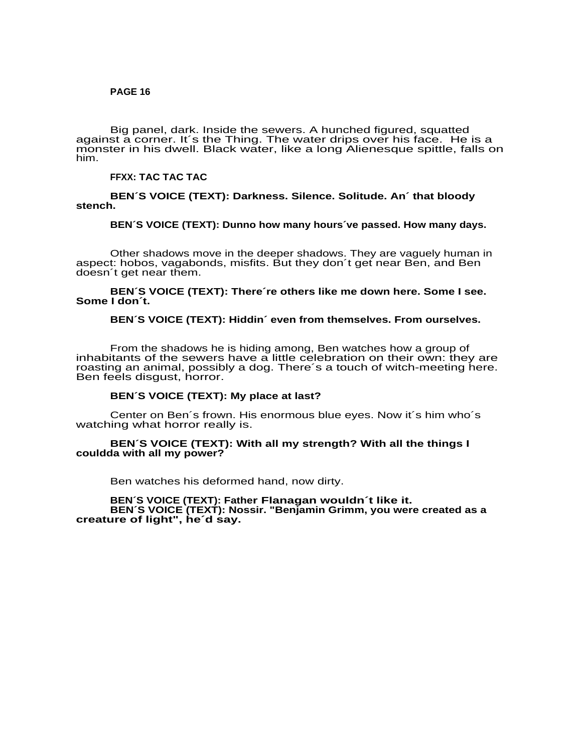Big panel, dark. Inside the sewers. A hunched figured, squatted against a corner. It's the Thing. The water drips over his face. He is a monster in his dwell. Black water, like a long Alienesque spittle, falls on him.

# **FFXX: TAC TAC TAC**

## **BEN´S VOICE (TEXT): Darkness. Silence. Solitude. An´ that bloody stench.**

## **BEN´S VOICE (TEXT): Dunno how many hours´ve passed. How many days.**

Other shadows move in the deeper shadows. They are vaguely human in aspect: hobos, vagabonds, misfits. But they don´t get near Ben, and Ben doesn´t get near them.

### **BEN´S VOICE (TEXT): There´re others like me down here. Some I see. Some I don´t.**

### **BEN´S VOICE (TEXT): Hiddin´ even from themselves. From ourselves.**

From the shadows he is hiding among, Ben watches how a group of inhabitants of the sewers have a little celebration on their own: they are rindbitants of the correro have a little colocitation on their criticity are<br>roasting an animal, possibly a dog. There's a touch of witch-meeting here. Ben feels disgust, horror.

## **BEN´S VOICE (TEXT): My place at last?**

Center on Ben´s frown. His enormous blue eyes. Now it´s him who´s watching what horror really is.

### **BEN´S VOICE (TEXT): With all my strength? With all the things I couldda with all my power?**

Ben watches his deformed hand, now dirty.

### **BEN´S VOICE (TEXT): Father Flanagan wouldn´t like it. BEN´S VOICE (TEXT): Nossir. "Benjamin Grimm, you were created as a creature of light", he´d say.**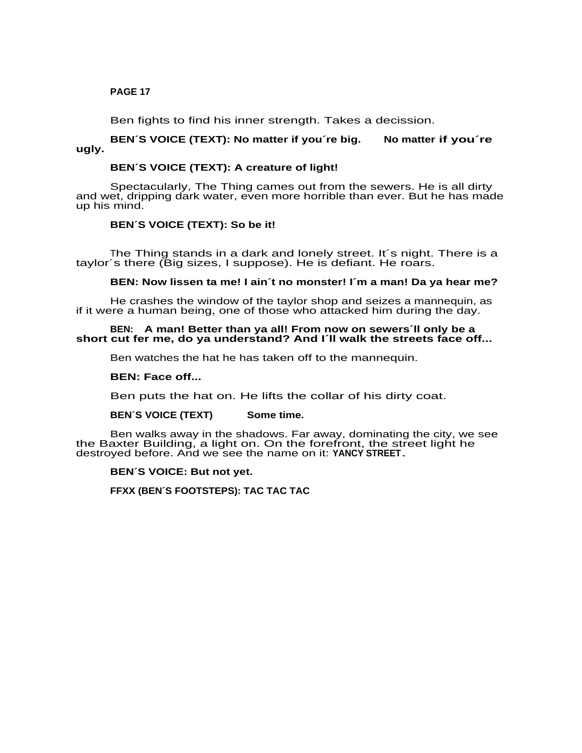Ben fights to find his inner strength. Takes a decission.

# **BEN´S VOICE (TEXT): No matter if you´re big. No matter if you´re ugly.**

# **BEN´S VOICE (TEXT): A creature of light!**

Spectacularly, The Thing cames out from the sewers. He is all dirty and wet, dripping dark water, even more horrible than ever. But he has made up his mind.

# **BEN´S VOICE (TEXT): So be it!**

The Thing stands in a dark and lonely street. It´s night. There is a taylor´s there (Big sizes, I suppose). He is defiant. He roars.

# **BEN: Now lissen ta me! I ain´t no monster! I´m a man! Da ya hear me?**

He crashes the window of the taylor shop and seizes a mannequin, as if it were a human being, one of those who attacked him during the day.

### **BEN: A man! Better than ya all! From now on sewers´ll only be a short cut fer me, do ya understand? And I´ll walk the streets face off...**

Ben watches the hat he has taken off to the mannequin.

### **BEN: Face off...**

Ben puts the hat on. He lifts the collar of his dirty coat.

## **BEN´S VOICE (TEXT) Some time.**

Ben walks away in the shadows. Far away, dominating the city, we see the Baxter Building, a light on. On the forefront, the street light he destroyed before. And we see the name on it: **YANCY STREET**.

### **BEN´S VOICE: But not yet.**

**FFXX (BEN´S FOOTSTEPS): TAC TAC TAC**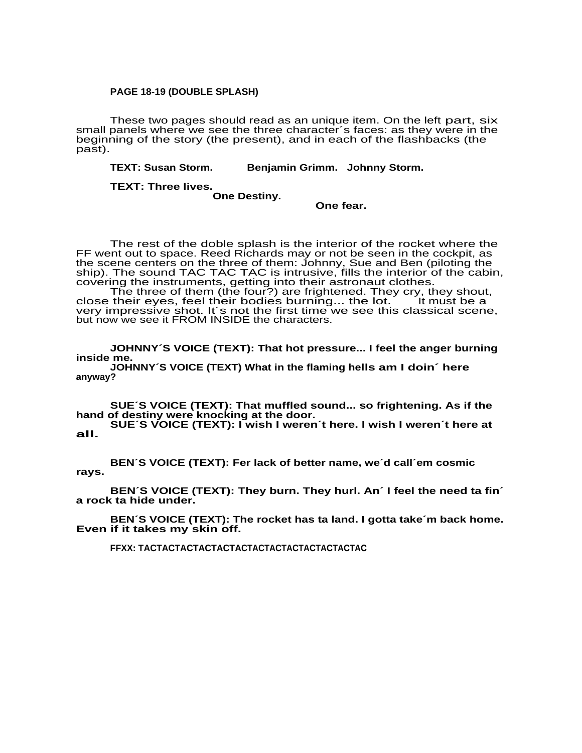## **PAGE 18-19 (DOUBLE SPLASH)**

These two pages should read as an unique item. On the left part, six small panels where we see the three character´s faces: as they were in the beginning of the story (the present), and in each of the flashbacks (the past).

**TEXT: Susan Storm. Benjamin Grimm. Johnny Storm.**

**TEXT: Three lives.**

**One Destiny.**

**One fear.**

The rest of the doble splash is the interior of the rocket where the FF went out to space. Reed Richards may or not be seen in the cockpit, as the scene centers on the three of them: Johnny, Sue and Ben (piloting the ship). The sound TAC TAC TAC is intrusive, fills the interior of the cabin, covering the instruments, getting into their astronaut clothes.

The three of them (the four?) are frightened. They cry, they shout, close their eyes, feel their bodies burning... the lot. It must be a very impressive shot. It´s not the first time we see this classical scene, but now we see it FROM INSIDE the characters.

**JOHNNY´S VOICE (TEXT): That hot pressure... I feel the anger burning inside me.**

**JOHNNY´S VOICE (TEXT) What in the flaming hells am I doin´ here anyway?**

**SUE´S VOICE (TEXT): That muffled sound... so frightening. As if the hand of destiny were knocking at the door.**

**SUE´S VOICE (TEXT): I wish I weren´t here. I wish I weren´t here at all.**

**BEN´S VOICE (TEXT): Fer lack of better name, we´d call´em cosmic rays.**

**BEN´S VOICE (TEXT): They burn. They hurl. An´ I feel the need ta fin´ a rock ta hide under.**

**BEN´S VOICE (TEXT): The rocket has ta land. I gotta take´m back home. Even if it takes my skin off.**

**FFXX: TACTACTACTACTACTACTACTACTACTACTACTACTAC**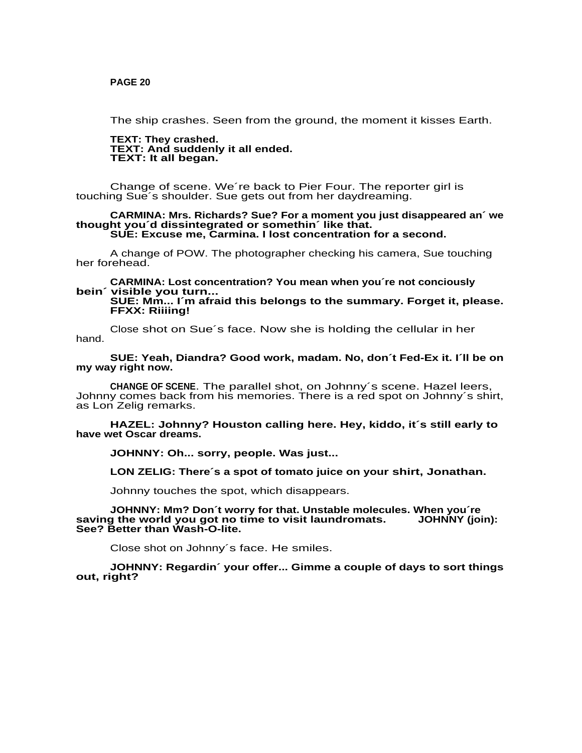The ship crashes. Seen from the ground, the moment it kisses Earth.

**TEXT: They crashed. TEXT: And suddenly it all ended. TEXT: It all began.**

Change of scene. We´re back to Pier Four. The reporter girl is touching Sue´s shoulder. Sue gets out from her daydreaming.

#### **CARMINA: Mrs. Richards? Sue? For a moment you just disappeared an´ we thought you´d dissintegrated or somethin´ like that. SUE: Excuse me, Carmina. I lost concentration for a second.**

A change of POW. The photographer checking his camera, Sue touching her forehead.

**CARMINA: Lost concentration? You mean when you´re not conciously bein´ visible you turn...**

# **SUE: Mm... I´m afraid this belongs to the summary. Forget it, please. FFXX: Riiiing!**

Close shot on Sue´s face. Now she is holding the cellular in her hand.

### **SUE: Yeah, Diandra? Good work, madam. No, don´t Fed-Ex it. I´ll be on my way right now.**

**CHANGE OF SCENE**. The parallel shot, on Johnny´s scene. Hazel leers, Johnny comes back from his memories. There is a red spot on Johnny´s shirt, as Lon Zelig remarks.

**HAZEL: Johnny? Houston calling here. Hey, kiddo, it´s still early to have wet Oscar dreams.**

**JOHNNY: Oh... sorry, people. Was just...**

**LON ZELIG: There´s a spot of tomato juice on your shirt, Jonathan.**

Johnny touches the spot, which disappears.

**JOHNNY: Mm? Don´t worry for that. Unstable molecules. When you´re** saving the world you got no time to visit laundromats. **See? Better than Wash-O-lite.**

Close shot on Johnny´s face. He smiles.

**JOHNNY: Regardin´ your offer... Gimme a couple of days to sort things out, right?**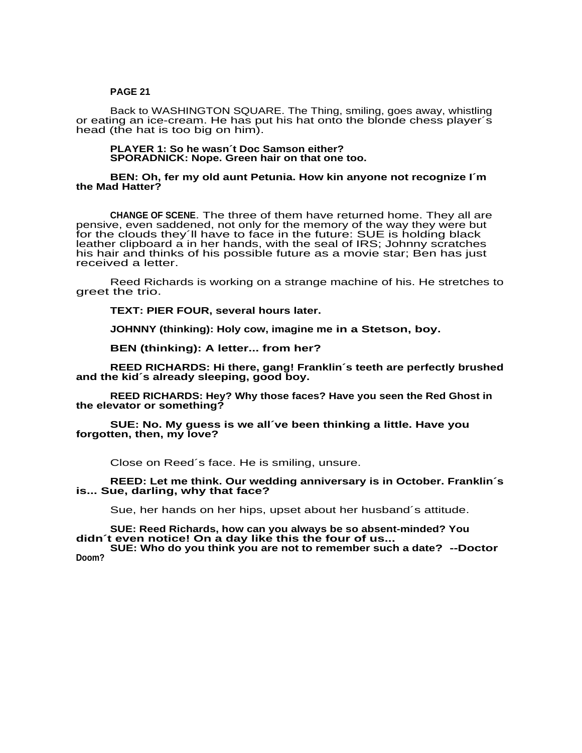Back to WASHINGTON SQUARE. The Thing, smiling, goes away, whistling or eating an ice-cream. He has put his hat onto the blonde chess player´s head (the hat is too big on him).

### **PLAYER 1: So he wasn´t Doc Samson either? SPORADNICK: Nope. Green hair on that one too.**

### **BEN: Oh, fer my old aunt Petunia. How kin anyone not recognize I´m the Mad Hatter?**

**CHANGE OF SCENE**. The three of them have returned home. They all are pensive, even saddened, not only for the memory of the way they were but for the clouds they´ll have to face in the future: SUE is holding black leather clipboard a in her hands, with the seal of IRS; Johnny scratches his hair and thinks of his possible future as a movie star; Ben has just received a letter.

Reed Richards is working on a strange machine of his. He stretches to greet the trio.

**TEXT: PIER FOUR, several hours later.**

**JOHNNY (thinking): Holy cow, imagine me in a Stetson, boy.**

**BEN (thinking): A letter... from her?**

**REED RICHARDS: Hi there, gang! Franklin´s teeth are perfectly brushed and the kid´s already sleeping, good boy.**

**REED RICHARDS: Hey? Why those faces? Have you seen the Red Ghost in the elevator or something?**

**SUE: No. My guess is we all´ve been thinking a little. Have you forgotten, then, my love?**

Close on Reed´s face. He is smiling, unsure.

**REED: Let me think. Our wedding anniversary is in October. Franklin´s is... Sue, darling, why that face?**

Sue, her hands on her hips, upset about her husband´s attitude.

**SUE: Reed Richards, how can you always be so absent-minded? You didn´t even notice! On a day like this the four of us...**

**SUE: Who do you think you are not to remember such a date? --Doctor Doom?**